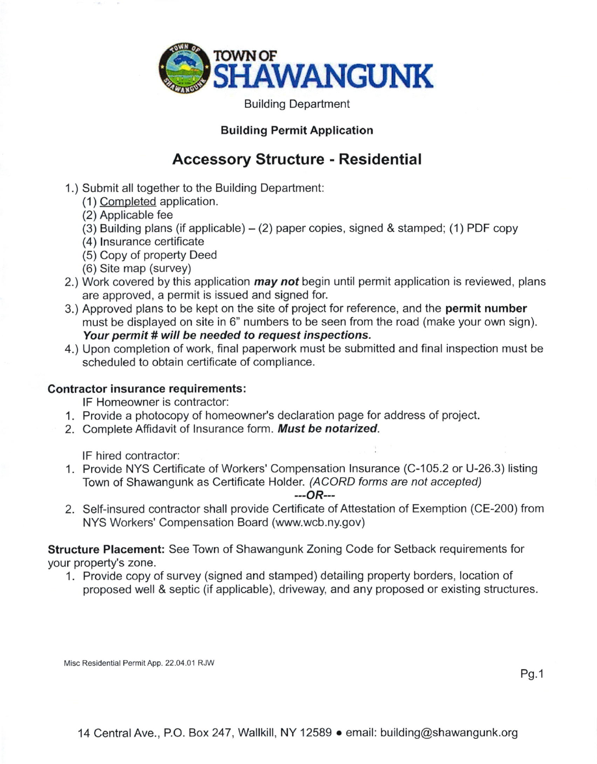

Building Department

## Building Permit Application

## Accessory Structure - Residentia!

- 1.) Submit all together to the Building Department:
	- (1) <u>Completed</u> application.
	- (2 Applicable fee
	- (3 Building plans (if applicable) (2) paper copies, signed & stamped; (1) PDF copy
	- (4 lnsurance certificate
	- (5 Copy of property Deed
	- (6 Site map (survey)
- 2.) Work covered by this application *may not* begin until permit application is reviewed, plans are approved, a permit is issued and signed for.
- 3.) Approved plans to be kept on the site of project for reference, and the **permit number** must be displayed on site in 6" numbers to be seen from the road (make your own sign). Your permit # will be needed to request inspections.
- 4.) Upon completion of work, final paperwork must be submitted and final inspection must be scheduled to obtain certificate of compliance.

## Contractor insurance requirements:

lF Homeowner is contractor:

- 1. Provide a photocopy of homeowner's declaration page for address of project.
- 2. Complete Affidavit of Insurance form. Must be notarized.

lF hired contractor:

1. Provide NYS Certificate of Workers' Compensation lnsurance (C-105.2 or U-26.3) listing Town of Shawangunk as Certificate Holder. (ACORD forms are not accepted)

 $-$ -- $OR$ ---

2. Self-insured contractor shall provide Certificate of Attestation of Exemption (CE-200) from NYS Workers' Compensation Board (www.wcb.ny.gov)

Structure Placement: See Town of Shawangunk Zoning Code for Setback requirements for your property's zone.

1. Provide copy of survey (signed and stamped) detailing property borders, location of proposed well & septic (if applicable), driveway, and any proposed or existing structures.

Misc Residential Permit App. 22.04.01 RJW